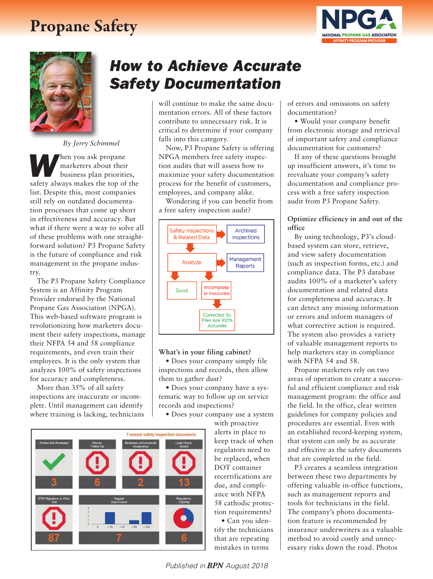# Propane Safety





*By Jerry Schimmel*

*W*hen you ask propane marketers about their business plan priorities, safety always makes the top of the list. Despite this, most companies still rely on outdated documentation processes that come up short in effectiveness and accuracy. But what if there were a way to solve all of these problems with one straightforward solution? P3 Propane Safety is the future of compliance and risk management in the propane industry.

The P3 Propane Safety Compliance System is an Affinity Program Provider endorsed by the National Propane Gas Association (NPGA). This web-based software program is revolutionizing how marketers document their safety inspections, manage their NFPA 54 and 58 compliance requirements, and even train their employees. It is the only system that analyzes 100% of safety inspections for accuracy and completeness.

More than 35% of all safety inspections are inaccurate or incomplete. Until management can identify where training is lacking, technicians

## *How to Achieve Accurate Safety Documentation*

will continue to make the same documentation errors. All of these factors contribute to unnecessary risk. It is critical to determine if your company falls into this category.

Now, P3 Propane Safety is offering NPGA members free safety inspection audits that will assess how to maximize your safety documentation process for the benefit of customers, employees, and company alike.

Wondering if you can benefit from a free safety inspection audit?



#### **What's in your filing cabinet?**

• Does your company simply file inspections and records, then allow them to gather dust?

• Does your company have a systematic way to follow up on service records and inspections?

• Does your company use a system

with proactive alerts in place to keep track of when regulators need to be replaced, when DOT container recertifications are due, and compliance with NFPA 58 cathodic protection requirements? • Can you identify the technicians

that are repeating mistakes in terms

of errors and omissions on safety documentation?

• Would your company benefit from electronic storage and retrieval of important safety and compliance documentation for customers?

If any of these questions brought up insufficient answers, it's time to reevaluate your company's safety documentation and compliance process with a free safety inspection audit from P3 Propane Safety.

## **Optimize efficiency in and out of the office**

By using technology, P3's cloudbased system can store, retrieve, and view safety documentation (such as inspection forms, etc.) and compliance data. The P3 database audits 100% of a marketer's safety documentation and related data for completeness and accuracy. It can detect any missing information or errors and inform managers of what corrective action is required. The system also provides a variety of valuable management reports to help marketers stay in compliance with NFPA 54 and 58.

Propane marketers rely on two areas of operation to create a successful and efficient compliance and risk management program: the office and the field. In the office, clear written guidelines for company policies and procedures are essential. Even with an established record-keeping system, that system can only be as accurate and effective as the safety documents that are completed in the field.

P3 creates a seamless integration between these two departments by offering valuable in-office functions, such as management reports and tools for technicians in the field. The company's photo documentation feature is recommended by insurance underwriters as a valuable method to avoid costly and unnecessary risks down the road. Photos



*Published in BPN August 2018*